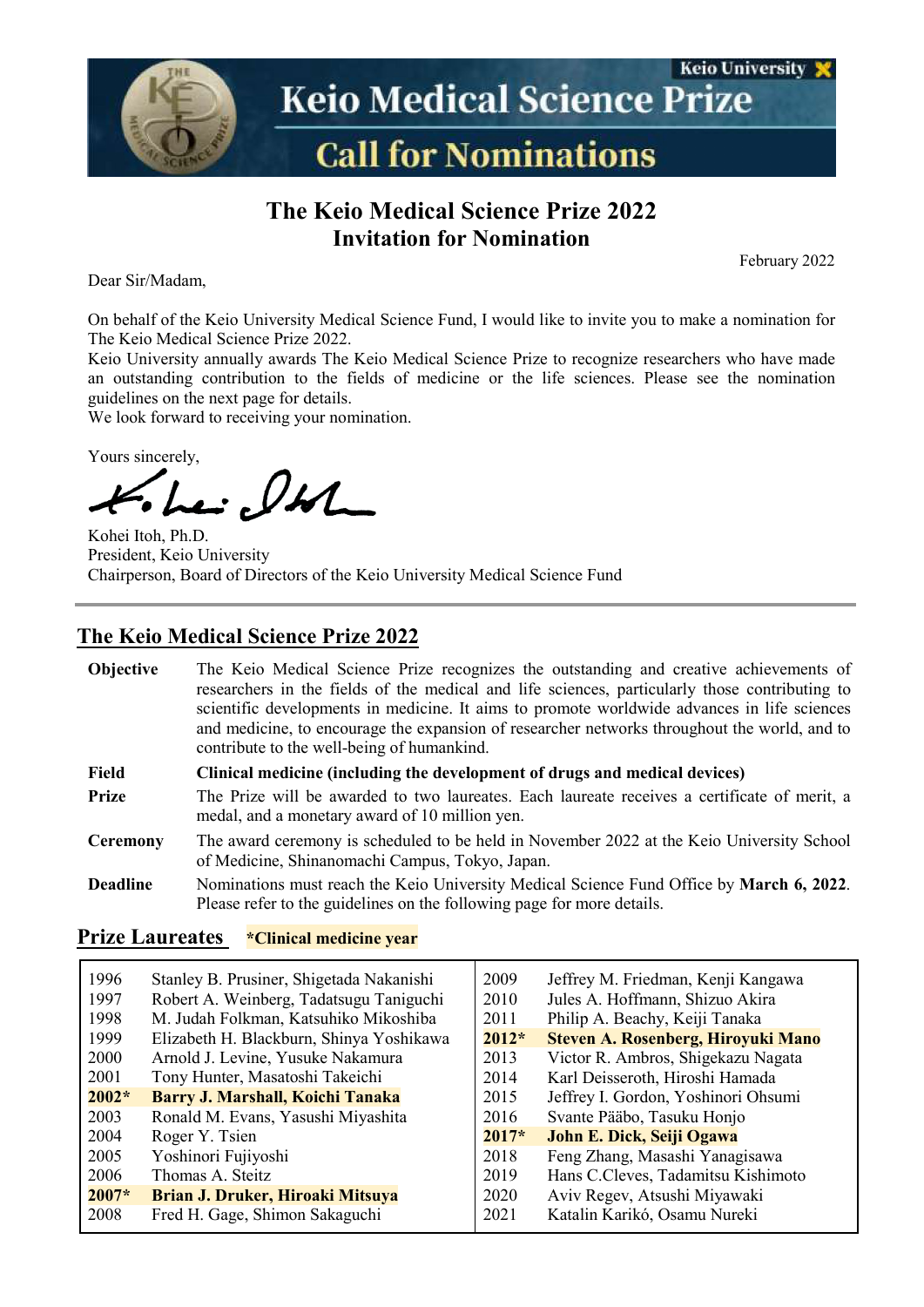

## **The Keio Medical Science Prize 2022 Invitation for Nomination**

February 2022

Dear Sir/Madam,

On behalf of the Keio University Medical Science Fund, I would like to invite you to make a nomination for The Keio Medical Science Prize 2022.

Keio University annually awards The Keio Medical Science Prize to recognize researchers who have made an outstanding contribution to the fields of medicine or the life sciences. Please see the nomination guidelines on the next page for details.

We look forward to receiving your nomination.

Yours sincerely,

Le: lt

Kohei Itoh, Ph.D. President, Keio University Chairperson, Board of Directors of the Keio University Medical Science Fund

### **The Keio Medical Science Prize 2022**

| <b>Objective</b> | The Keio Medical Science Prize recognizes the outstanding and creative achievements of<br>researchers in the fields of the medical and life sciences, particularly those contributing to<br>scientific developments in medicine. It aims to promote worldwide advances in life sciences<br>and medicine, to encourage the expansion of researcher networks throughout the world, and to<br>contribute to the well-being of humankind. |  |
|------------------|---------------------------------------------------------------------------------------------------------------------------------------------------------------------------------------------------------------------------------------------------------------------------------------------------------------------------------------------------------------------------------------------------------------------------------------|--|
| Field            | Clinical medicine (including the development of drugs and medical devices)                                                                                                                                                                                                                                                                                                                                                            |  |
| <b>Prize</b>     | The Prize will be awarded to two laureates. Each laureate receives a certificate of merit, a<br>medal, and a monetary award of 10 million yen.                                                                                                                                                                                                                                                                                        |  |
| <b>Ceremony</b>  | The award ceremony is scheduled to be held in November 2022 at the Keio University School<br>of Medicine, Shinanomachi Campus, Tokyo, Japan.                                                                                                                                                                                                                                                                                          |  |
| <b>Deadline</b>  | Nominations must reach the Keio University Medical Science Fund Office by March 6, 2022.<br>Please refer to the guidelines on the following page for more details.                                                                                                                                                                                                                                                                    |  |

#### **Prize Laureates \*Clinical medicine year**

| 1996    | Stanley B. Prusiner, Shigetada Nakanishi | 2009    | Jeffrey M. Friedman, Kenji Kangawa  |
|---------|------------------------------------------|---------|-------------------------------------|
| 1997    | Robert A. Weinberg, Tadatsugu Taniguchi  | 2010    | Jules A. Hoffmann, Shizuo Akira     |
| 1998    | M. Judah Folkman, Katsuhiko Mikoshiba    | 2011    | Philip A. Beachy, Keiji Tanaka      |
| 1999    | Elizabeth H. Blackburn, Shinya Yoshikawa | $2012*$ | Steven A. Rosenberg, Hiroyuki Mano  |
| 2000    | Arnold J. Levine, Yusuke Nakamura        | 2013    | Victor R. Ambros, Shigekazu Nagata  |
| 2001    | Tony Hunter, Masatoshi Takeichi          | 2014    | Karl Deisseroth, Hiroshi Hamada     |
| $2002*$ | Barry J. Marshall, Koichi Tanaka         | 2015    | Jeffrey I. Gordon, Yoshinori Ohsumi |
| 2003    | Ronald M. Evans, Yasushi Miyashita       | 2016    | Svante Pääbo, Tasuku Honjo          |
| 2004    | Roger Y. Tsien                           | $2017*$ | John E. Dick, Seiji Ogawa           |
| 2005    | Yoshinori Fujiyoshi                      | 2018    | Feng Zhang, Masashi Yanagisawa      |
| 2006    | Thomas A. Steitz                         | 2019    | Hans C.Cleves, Tadamitsu Kishimoto  |
| $2007*$ | <b>Brian J. Druker, Hiroaki Mitsuya</b>  | 2020    | Aviv Regev, Atsushi Miyawaki        |
| 2008    | Fred H. Gage, Shimon Sakaguchi           | 2021    | Katalin Karikó, Osamu Nureki        |
|         |                                          |         |                                     |